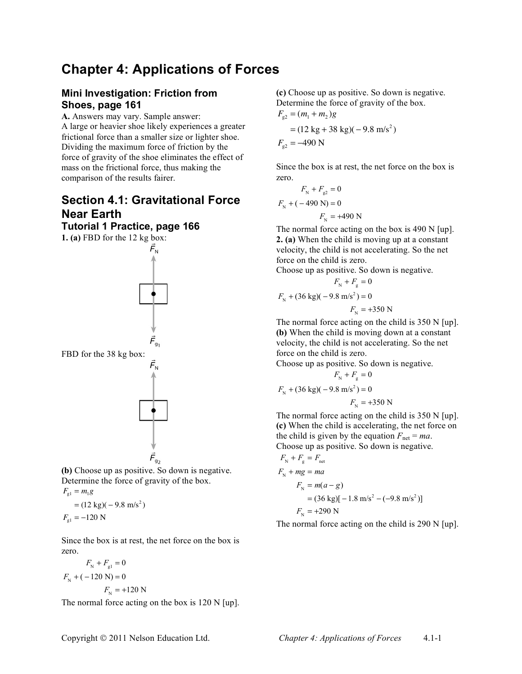# **Chapter 4: Applications of Forces**

## **Mini Investigation: Friction from Shoes, page 161**

**A.** Answers may vary. Sample answer: A large or heavier shoe likely experiences a greater frictional force than a smaller size or lighter shoe. Dividing the maximum force of friction by the force of gravity of the shoe eliminates the effect of mass on the frictional force, thus making the comparison of the results fairer.

## **Section 4.1: Gravitational Force Near Earth**

### **Tutorial 1 Practice, page 166**

**1. (a)** FBD for the 12 kg box:



**(b)** Choose up as positive. So down is negative. Determine the force of gravity of the box.  $F_{\rm gl} = m_1 g$ 

$$
= (12 \text{ kg})(-9.8 \text{ m/s}^2)
$$
  

$$
F_{\text{gl}} = -120 \text{ N}
$$

Since the box is at rest, the net force on the box is zero.

$$
F_{N} + F_{gl} = 0
$$
  

$$
F_{N} + (-120 N) = 0
$$
  

$$
F_{N} = +120 N
$$

The normal force acting on the box is 120 N [up].

**(c)** Choose up as positive. So down is negative. Determine the force of gravity of the box.  $F_{\rm g2} = (m_1 + m_2)g$ 

$$
= (12 \text{ kg} + 38 \text{ kg})(-9.8 \text{ m/s}^2)
$$
  

$$
F_{g2} = -490 \text{ N}
$$

Since the box is at rest, the net force on the box is zero.

$$
F_{N} + F_{g2} = 0
$$
  

$$
F_{N} + (-490 \text{ N}) = 0
$$
  

$$
F_{N} = +490 \text{ N}
$$

The normal force acting on the box is 490 N [up]. **2. (a)** When the child is moving up at a constant velocity, the child is not accelerating. So the net force on the child is zero.

Choose up as positive. So down is negative.

$$
F_{\rm N} + F_{\rm g} = 0
$$
  

$$
F_{\rm N} + (36 \text{ kg})(-9.8 \text{ m/s}^2) = 0
$$
  

$$
F_{\rm N} = +350 \text{ N}
$$

The normal force acting on the child is 350 N [up]. **(b)** When the child is moving down at a constant velocity, the child is not accelerating. So the net force on the child is zero.

Choose up as positive. So down is negative.  $F_{\rm N} + F_{\rm g} = 0$ 

$$
F_{\rm N}
$$
 + (36 kg)(-9.8 m/s<sup>2</sup>) = 0

 $F_{\rm N}$  = +350 N

The normal force acting on the child is 350 N [up]. **(c)** When the child is accelerating, the net force on the child is given by the equation  $F_{\text{net}} = ma$ . Choose up as positive. So down is negative.

$$
F_{\rm N} + F_{\rm g} = F_{\rm net}
$$
  
\n
$$
F_{\rm N} + mg = ma
$$
  
\n
$$
F_{\rm N} = m(a - g)
$$
  
\n
$$
= (36 \text{ kg})[-1.8 \text{ m/s}^2 - (-9.8 \text{ m/s}^2)]
$$
  
\n
$$
F_{\rm N} = +290 \text{ N}
$$

The normal force acting on the child is 290 N [up].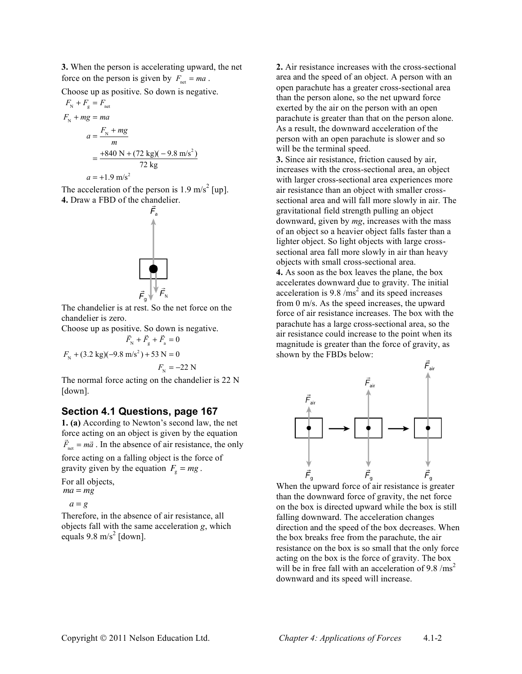**3.** When the person is accelerating upward, the net force on the person is given by  $F_{\text{net}} = ma$ .

Choose up as positive. So down is negative.

$$
F_{N} + F_{g} = F_{net}
$$
  
\n
$$
F_{N} + mg = ma
$$
  
\n
$$
a = \frac{F_{N} + mg}{m}
$$
  
\n
$$
= \frac{+840 \text{ N} + (72 \text{ kg})(-9.8 \text{ m/s}^{2})}{72 \text{ kg}}
$$
  
\n
$$
a = +1.9 \text{ m/s}^{2}
$$

The acceleration of the person is  $1.9 \text{ m/s}^2$  [up]. **4.** Draw a FBD of the chandelier.



The chandelier is at rest. So the net force on the chandelier is zero.

Choose up as positive. So down is negative. !

 $\vec{F}_{\text{N}} + \vec{F}_{\text{g}} + \vec{F}_{\text{a}} = 0$ 

$$
F_{\rm N}
$$
 + (3.2 kg)(-9.8 m/s<sup>2</sup>) + 53 N = 0

 $F_{\rm N} = -22$  N

The normal force acting on the chandelier is 22 N [down].

#### **Section 4.1 Questions, page 167**

**1. (a)** According to Newton's second law, the net force acting on an object is given by the equation  $\vec{F}_{net} = m\vec{a}$ . In the absence of air resistance, the only force acting on a falling object is the force of gravity given by the equation  $F_g = mg$ .

For all objects, *ma* <sup>=</sup> *mg*

$$
a = g
$$

Therefore, in the absence of air resistance, all objects fall with the same acceleration *g*, which equals  $9.8 \text{ m/s}^2$  [down].

**2.** Air resistance increases with the cross-sectional area and the speed of an object. A person with an open parachute has a greater cross-sectional area than the person alone, so the net upward force exerted by the air on the person with an open parachute is greater than that on the person alone. As a result, the downward acceleration of the person with an open parachute is slower and so will be the terminal speed.

**3.** Since air resistance, friction caused by air, increases with the cross-sectional area, an object with larger cross-sectional area experiences more air resistance than an object with smaller crosssectional area and will fall more slowly in air. The gravitational field strength pulling an object downward, given by *mg*, increases with the mass of an object so a heavier object falls faster than a lighter object. So light objects with large crosssectional area fall more slowly in air than heavy objects with small cross-sectional area. **4.** As soon as the box leaves the plane, the box

accelerates downward due to gravity. The initial acceleration is  $9.8 / \text{ms}^2$  and its speed increases from 0 m/s. As the speed increases, the upward force of air resistance increases. The box with the parachute has a large cross-sectional area, so the air resistance could increase to the point when its magnitude is greater than the force of gravity, as shown by the FBDs below:



When the upward force of air resistance is greater than the downward force of gravity, the net force on the box is directed upward while the box is still falling downward. The acceleration changes direction and the speed of the box decreases. When the box breaks free from the parachute, the air resistance on the box is so small that the only force acting on the box is the force of gravity. The box will be in free fall with an acceleration of 9.8  $\text{/ms}^2$ downward and its speed will increase.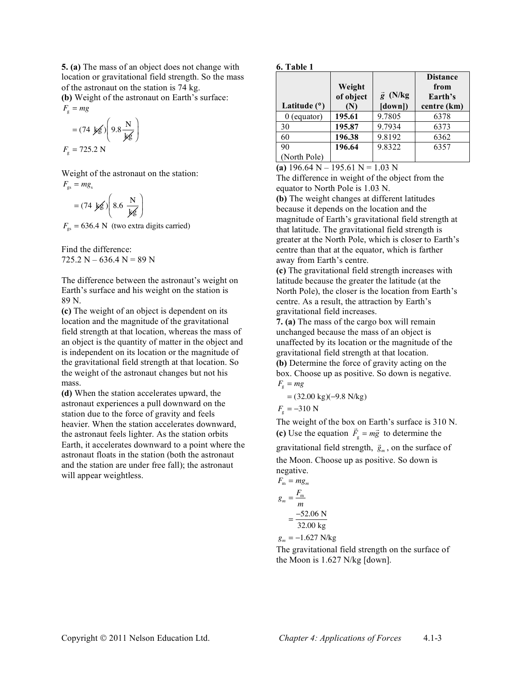**5. (a)** The mass of an object does not change with location or gravitational field strength. So the mass of the astronaut on the station is 74 kg.

**(b)** Weight of the astronaut on Earth's surface:  $F_{\rm g}$  = *mg* 

$$
= (74 \text{ kg}) \left( 9.8 \frac{\text{N}}{\text{kg}} \right)
$$

$$
F_{\text{g}} = 725.2 \text{N}
$$

Weight of the astronaut on the station:  $F_{\rm gs} = mg_{\rm s}$ 

$$
= (74 \text{ kg}) \left( 8.6 \frac{\text{N}}{\text{kg}} \right)
$$

 $F_{\rm gs}$  = 636.4 N (two extra digits carried)

Find the difference:  $725.2 N - 636.4 N = 89 N$ 

The difference between the astronaut's weight on Earth's surface and his weight on the station is 89 N.

**(c)** The weight of an object is dependent on its location and the magnitude of the gravitational field strength at that location, whereas the mass of an object is the quantity of matter in the object and is independent on its location or the magnitude of the gravitational field strength at that location. So the weight of the astronaut changes but not his mass.

**(d)** When the station accelerates upward, the astronaut experiences a pull downward on the station due to the force of gravity and feels heavier. When the station accelerates downward, the astronaut feels lighter. As the station orbits Earth, it accelerates downward to a point where the astronaut floats in the station (both the astronaut and the station are under free fall); the astronaut will appear weightless.

#### **6. Table 1**

| Latitude $(°)$ | Weight<br>of object<br>(N) | $\vec{g}$ (N/kg<br>$\lceil \text{down} \rceil$ | <b>Distance</b><br>from<br>Earth's<br>centre (km) |
|----------------|----------------------------|------------------------------------------------|---------------------------------------------------|
| $0$ (equator)  | 195.61                     | 9.7805                                         | 6378                                              |
| 30             | 195.87                     | 9.7934                                         | 6373                                              |
| 60             | 196.38                     | 9.8192                                         | 6362                                              |
| 90             | 196.64                     | 9.8322                                         | 6357                                              |
| (North Pole)   |                            |                                                |                                                   |

(a)  $196.64$  N –  $195.61$  N =  $1.03$  N

The difference in weight of the object from the equator to North Pole is 1.03 N.

**(b)** The weight changes at different latitudes because it depends on the location and the magnitude of Earth's gravitational field strength at that latitude. The gravitational field strength is greater at the North Pole, which is closer to Earth's centre than that at the equator, which is farther away from Earth's centre.

**(c)** The gravitational field strength increases with latitude because the greater the latitude (at the North Pole), the closer is the location from Earth's centre. As a result, the attraction by Earth's gravitational field increases.

**7. (a)** The mass of the cargo box will remain unchanged because the mass of an object is unaffected by its location or the magnitude of the gravitational field strength at that location. **(b)** Determine the force of gravity acting on the box. Choose up as positive. So down is negative.  $F_{\rm g}$  = *mg* 

$$
= (32.00 \text{ kg})(-9.8 \text{ N/kg})
$$

$$
F_{\rm g} = -310 \text{ N}
$$

The weight of the box on Earth's surface is 310 N. (c) Use the equation  $\vec{F}_{g} = m\vec{g}$  to determine the

gravitational field strength,  $\vec{g}_m$ , on the surface of the Moon. Choose up as positive. So down is negative.

$$
F_{\rm m} = mg_m
$$
  

$$
g_m = \frac{F_{\rm m}}{m}
$$
  

$$
= \frac{-52.06 \text{ N}}{32.00 \text{ kg}}
$$

 $g_m = -1.627 \text{ N/kg}$ 

The gravitational field strength on the surface of the Moon is 1.627 N/kg [down].